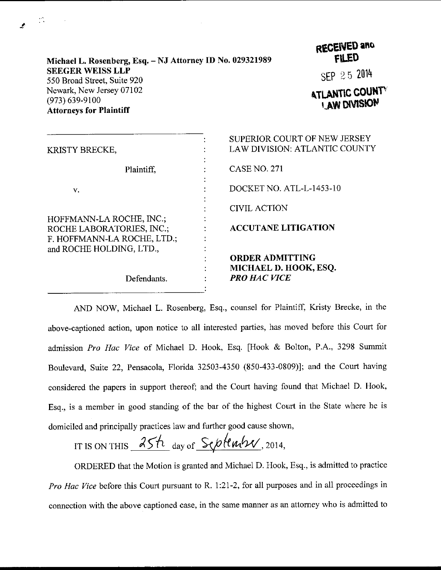| Michael L. Rosenberg, Esq. - NJ Attorney ID No. 029321989                        |   | RECENED and<br><b>FILED</b>                                          |  |
|----------------------------------------------------------------------------------|---|----------------------------------------------------------------------|--|
| <b>SEEGER WEISS LLP</b><br>550 Broad Street, Suite 920                           |   | SEP 25 2014                                                          |  |
| Newark, New Jersey 07102<br>$(973) 639 - 9100$<br><b>Attorneys for Plaintiff</b> |   | <b>ATLANTIC COUP</b><br><b>LAW DIVISION</b>                          |  |
| KRISTY BRECKE,                                                                   | ٠ | SUPERIOR COURT OF NEW JERSEY<br><b>LAW DIVISION: ATLANTIC COUNTY</b> |  |

**TIC COUNTY CASE NO. 271** Plaintiff.  $\ddot{\cdot}$ DOCKET NO. ATL-L-1453-10 : v. **CIVIL ACTION** HOFFMANN-LA ROCHE, INC.; **ACCUTANE LITIGATION** ROCHE LABORATORIES, INC.; F. HOFFMANN-LA ROCHE, LTD.; and ROCHE HOLDING, LTD., **ORDER ADMITTING** MICHAEL D. HOOK, ESQ. **PRO HAC VICE** Defendants.

**ANTIC COUNTY AW DIVISION** 

AND NOW, Michael L. Rosenberg, Esq., counsel for Plaintiff, Kristy Brecke, in the above-captioned action, upon notice to all interested parties, has moved before this Court for admission Pro Hac Vice of Michael D. Hook, Esq. [Hook & Bolton, P.A., 3298 Summit Boulevard, Suite 22, Pensacola, Florida 32503-4350 (850-433-0809)]; and the Court having considered the papers in support thereof; and the Court having found that Michael D. Hook, Esq., is a member in good standing of the bar of the highest Court in the State where he is domiciled and principally practices law and further good cause shown,

IT IS ON THIS  $25h$  day of September, 2014,

ORDERED that the Motion is granted and Michael D. Hook, Esq., is admitted to practice Pro Hac Vice before this Court pursuant to R. 1:21-2, for all purposes and in all proceedings in connection with the above captioned case, in the same manner as an attorney who is admitted to

 $\mathcal{L}_{\mathcal{A}}$